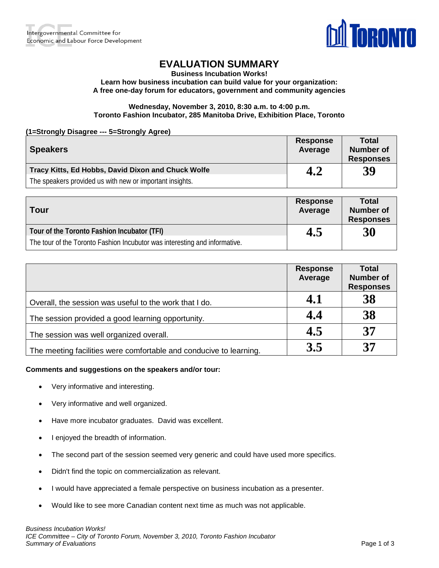

# **EVALUATION SUMMARY**

**Business Incubation Works!**

**Learn how business incubation can build value for your organization: A free one-day forum for educators, government and community agencies**

### **Wednesday, November 3, 2010, 8:30 a.m. to 4:00 p.m. Toronto Fashion Incubator, 285 Manitoba Drive, Exhibition Place, Toronto**

**(1=Strongly Disagree --- 5=Strongly Agree)**

| <b>Speakers</b>                                          | <b>Response</b><br>Average | Total<br><b>Number of</b><br><b>Responses</b> |
|----------------------------------------------------------|----------------------------|-----------------------------------------------|
| Tracy Kitts, Ed Hobbs, David Dixon and Chuck Wolfe       | 4.2                        | 39                                            |
| The speakers provided us with new or important insights. |                            |                                               |

| <b>Tour</b>                                                                | <b>Response</b><br>Average | <b>Total</b><br><b>Number of</b><br><b>Responses</b> |
|----------------------------------------------------------------------------|----------------------------|------------------------------------------------------|
| Tour of the Toronto Fashion Incubator (TFI)                                | 4.5                        | 30                                                   |
| The tour of the Toronto Fashion Incubutor was interesting and informative. |                            |                                                      |

|                                                                    | <b>Response</b><br>Average | <b>Total</b><br><b>Number of</b><br><b>Responses</b> |
|--------------------------------------------------------------------|----------------------------|------------------------------------------------------|
| Overall, the session was useful to the work that I do.             | 4.1                        | 38                                                   |
| The session provided a good learning opportunity.                  | 4.4                        | 38                                                   |
| The session was well organized overall.                            | 4.5                        | 37                                                   |
| The meeting facilities were comfortable and conducive to learning. | 3.5                        | 37                                                   |

#### **Comments and suggestions on the speakers and/or tour:**

- Very informative and interesting.
- Very informative and well organized.
- Have more incubator graduates. David was excellent.
- I enjoyed the breadth of information.
- The second part of the session seemed very generic and could have used more specifics.
- Didn't find the topic on commercialization as relevant.
- I would have appreciated a female perspective on business incubation as a presenter.
- Would like to see more Canadian content next time as much was not applicable.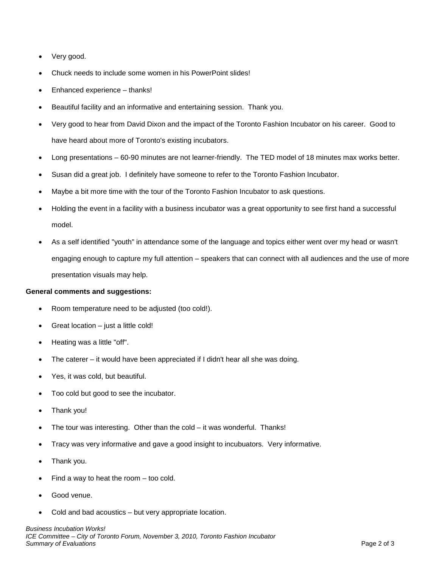- Very good.
- Chuck needs to include some women in his PowerPoint slides!
- Enhanced experience thanks!
- Beautiful facility and an informative and entertaining session. Thank you.
- Very good to hear from David Dixon and the impact of the Toronto Fashion Incubator on his career. Good to have heard about more of Toronto's existing incubators.
- Long presentations 60-90 minutes are not learner-friendly. The TED model of 18 minutes max works better.
- Susan did a great job. I definitely have someone to refer to the Toronto Fashion Incubator.
- Maybe a bit more time with the tour of the Toronto Fashion Incubator to ask questions.
- Holding the event in a facility with a business incubator was a great opportunity to see first hand a successful model.
- As a self identified "youth" in attendance some of the language and topics either went over my head or wasn't engaging enough to capture my full attention – speakers that can connect with all audiences and the use of more presentation visuals may help.

#### **General comments and suggestions:**

- Room temperature need to be adjusted (too cold!).
- Great location  $-$  just a little cold!
- Heating was a little "off".
- The caterer it would have been appreciated if I didn't hear all she was doing.
- Yes, it was cold, but beautiful.
- Too cold but good to see the incubator.
- Thank you!
- The tour was interesting. Other than the cold it was wonderful. Thanks!
- Tracy was very informative and gave a good insight to incubuators. Very informative.
- Thank you.
- Find a way to heat the room  $-$  too cold.
- Good venue.
- Cold and bad acoustics but very appropriate location.